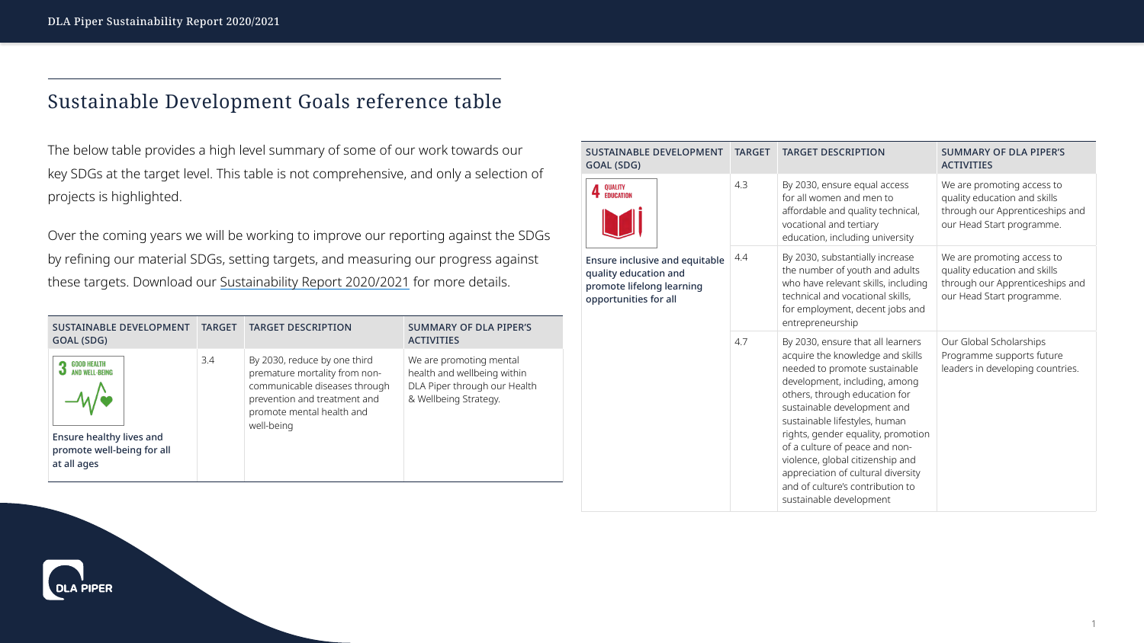## Sustainable Development Goals reference table

The below table provides a high level summary of some of our work towards our key SDGs at the target level. This table is not comprehensive, and only a selection of projects is highlighted.

Over the coming years we will be working to improve our reporting against the SDGs by refining our material SDGs, setting targets, and measuring our progress against these targets. Download our [Sustainability Report 2020/2021](http://www.dlapiper.com/focus/sustainability-report-2021/introduction/) for more details.

| <b>SUSTAINABLE DEVELOPMENT</b><br>GOAL (SDG)                                                                         | <b>TARGET</b> | <b>TARGET DESCRIPTION</b>                                                                                                                                                 | <b>SUMMARY OF DLA PIPER'S</b><br><b>ACTIVITIES</b>                                                              |
|----------------------------------------------------------------------------------------------------------------------|---------------|---------------------------------------------------------------------------------------------------------------------------------------------------------------------------|-----------------------------------------------------------------------------------------------------------------|
| <b>GOOD HEALTH</b><br>AND WELL-BEING<br><b>Ensure healthy lives and</b><br>promote well-being for all<br>at all ages | 3.4           | By 2030, reduce by one third<br>premature mortality from non-<br>communicable diseases through<br>prevention and treatment and<br>promote mental health and<br>well-being | We are promoting mental<br>health and wellbeing within<br>DLA Piper through our Health<br>& Wellbeing Strategy. |





| <b>SUSTAINABLE DEVELOPMENT</b><br><b>GOAL (SDG)</b>                                                                  | <b>TARGET</b> | <b>TARGET DESCRIPTION</b>                                                                                                                                                                                                                                                                                                                                                                                                                                 | <b>SUMMARY OF DLA PIPER'S</b><br><b>ACTIVITIES</b>                                                                        |
|----------------------------------------------------------------------------------------------------------------------|---------------|-----------------------------------------------------------------------------------------------------------------------------------------------------------------------------------------------------------------------------------------------------------------------------------------------------------------------------------------------------------------------------------------------------------------------------------------------------------|---------------------------------------------------------------------------------------------------------------------------|
| QUALITY<br>EDUCATION                                                                                                 | 4.3           | By 2030, ensure equal access<br>for all women and men to<br>affordable and quality technical,<br>vocational and tertiary<br>education, including university                                                                                                                                                                                                                                                                                               | We are promoting access to<br>quality education and skills<br>through our Apprenticeships an<br>our Head Start programme. |
| <b>Ensure inclusive and equitable</b><br>quality education and<br>promote lifelong learning<br>opportunities for all | 4.4           | By 2030, substantially increase<br>the number of youth and adults<br>who have relevant skills, including<br>technical and vocational skills,<br>for employment, decent jobs and<br>entrepreneurship                                                                                                                                                                                                                                                       | We are promoting access to<br>quality education and skills<br>through our Apprenticeships an<br>our Head Start programme. |
|                                                                                                                      | 4.7           | By 2030, ensure that all learners<br>acquire the knowledge and skills<br>needed to promote sustainable<br>development, including, among<br>others, through education for<br>sustainable development and<br>sustainable lifestyles, human<br>rights, gender equality, promotion<br>of a culture of peace and non-<br>violence, global citizenship and<br>appreciation of cultural diversity<br>and of culture's contribution to<br>sustainable development | Our Global Scholarships<br>Programme supports future<br>leaders in developing countries.                                  |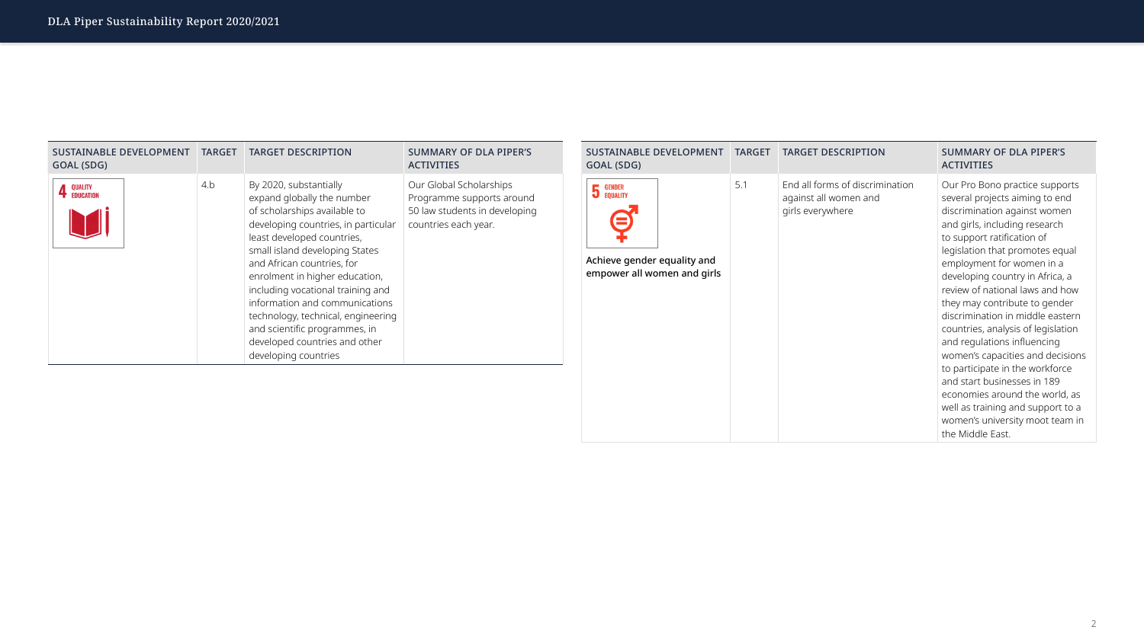| <b>SUSTAINABLE DEVELOPMENT</b><br>GOAL (SDG) | <b>TARGET</b> | <b>TARGET DESCRIPTION</b>                                                                                                                                                                                                                                                                                                                                                                                                                                          | <b>SUMMARY OF DLA PIPER'S</b><br><b>ACTIVITIES</b>                                                            |
|----------------------------------------------|---------------|--------------------------------------------------------------------------------------------------------------------------------------------------------------------------------------------------------------------------------------------------------------------------------------------------------------------------------------------------------------------------------------------------------------------------------------------------------------------|---------------------------------------------------------------------------------------------------------------|
| <b>QUALITY</b><br><b>EDUCATION</b>           | 4.b           | By 2020, substantially<br>expand globally the number<br>of scholarships available to<br>developing countries, in particular<br>least developed countries,<br>small island developing States<br>and African countries, for<br>enrolment in higher education,<br>including vocational training and<br>information and communications<br>technology, technical, engineering<br>and scientific programmes, in<br>developed countries and other<br>developing countries | Our Global Scholarships<br>Programme supports around<br>50 law students in developing<br>countries each year. |

| <b>SUSTAINABLE DEVELOPMENT</b><br>GOAL (SDG)                                                 | <b>TARGET</b> | <b>TARGET DESCRIPTION</b>                                                    | <b>SUMMARY OF DLA PIPER'S</b><br><b>ACTIVITIES</b>                                                                                                                                                                                                                                                                                                                                                                                                                                                                                                                                                                                                                                 |
|----------------------------------------------------------------------------------------------|---------------|------------------------------------------------------------------------------|------------------------------------------------------------------------------------------------------------------------------------------------------------------------------------------------------------------------------------------------------------------------------------------------------------------------------------------------------------------------------------------------------------------------------------------------------------------------------------------------------------------------------------------------------------------------------------------------------------------------------------------------------------------------------------|
| GENDER<br>5<br><b>EQUALITY</b><br>Achieve gender equality and<br>empower all women and girls | 5.1           | End all forms of discrimination<br>against all women and<br>girls everywhere | Our Pro Bono practice supports<br>several projects aiming to end<br>discrimination against women<br>and girls, including research<br>to support ratification of<br>legislation that promotes equal<br>employment for women in a<br>developing country in Africa, a<br>review of national laws and how<br>they may contribute to gender<br>discrimination in middle eastern<br>countries, analysis of legislation<br>and regulations influencing<br>women's capacities and decision<br>to participate in the workforce<br>and start businesses in 189<br>economies around the world, as<br>well as training and support to a<br>women's university moot team in<br>the Middle East. |

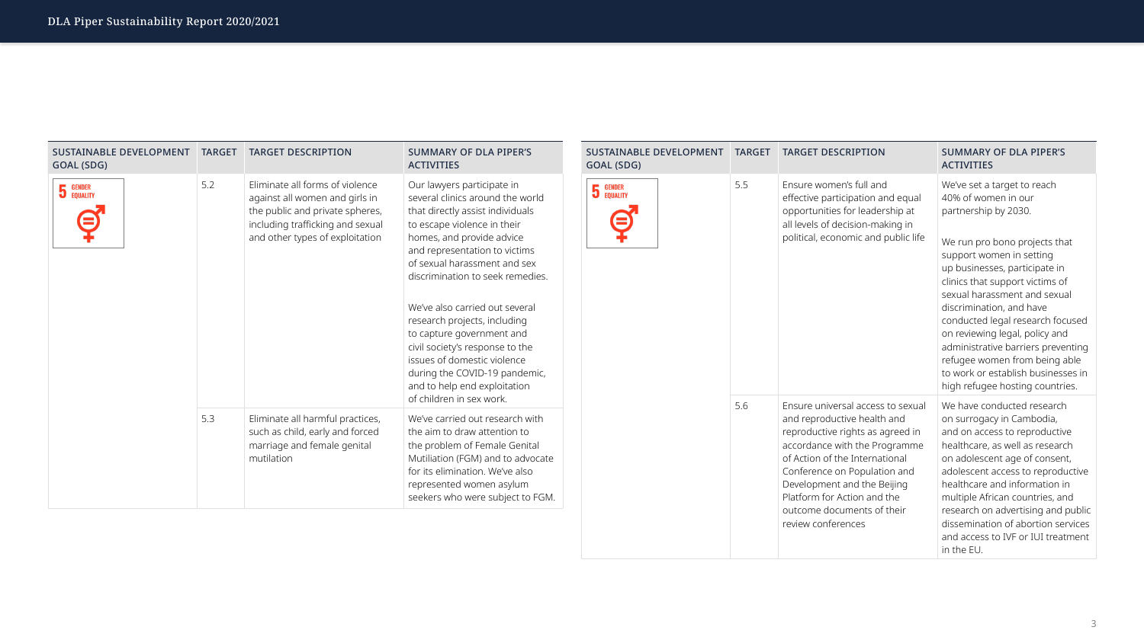| <b>SUSTAINABLE DEVELOPMENT</b><br>GOAL (SDG) | <b>TARGET</b> | <b>TARGET DESCRIPTION</b>                                                                                                                                                   | <b>SUMMARY OF DLA PIPER'S</b><br><b>ACTIVITIES</b>                                                                                                                                                                                                                                                                                                                                                                                                                                                    | <b>SUSTAINABLE DEVELOPMENT</b><br>GOAL (SDG) | <b>TARGET</b> | <b>TARGET DESCRIPTION</b>                                                                                                                                                                                                                                                                                                 | <b>SUMMARY OF DLA PIPER'S</b><br><b>ACTIVITIES</b>                                                                                                                                                                                                                                                                                                                                                                                                                                            |
|----------------------------------------------|---------------|-----------------------------------------------------------------------------------------------------------------------------------------------------------------------------|-------------------------------------------------------------------------------------------------------------------------------------------------------------------------------------------------------------------------------------------------------------------------------------------------------------------------------------------------------------------------------------------------------------------------------------------------------------------------------------------------------|----------------------------------------------|---------------|---------------------------------------------------------------------------------------------------------------------------------------------------------------------------------------------------------------------------------------------------------------------------------------------------------------------------|-----------------------------------------------------------------------------------------------------------------------------------------------------------------------------------------------------------------------------------------------------------------------------------------------------------------------------------------------------------------------------------------------------------------------------------------------------------------------------------------------|
| <b>5</b> GENDER                              | 5.2           | Eliminate all forms of violence<br>against all women and girls in<br>the public and private spheres,<br>including trafficking and sexual<br>and other types of exploitation | Our lawyers participate in<br>several clinics around the world<br>that directly assist individuals<br>to escape violence in their<br>homes, and provide advice<br>and representation to victims<br>of sexual harassment and sex<br>discrimination to seek remedies.<br>We've also carried out several<br>research projects, including<br>to capture government and<br>civil society's response to the<br>issues of domestic violence<br>during the COVID-19 pandemic,<br>and to help end exploitation | <b>5</b> GENDER<br>Ξ                         | 5.5           | Ensure women's full and<br>effective participation and equal<br>opportunities for leadership at<br>all levels of decision-making in<br>political, economic and public life                                                                                                                                                | We've set a target to reach<br>40% of women in our<br>partnership by 2030.<br>We run pro bono projects that<br>support women in setting<br>up businesses, participate in<br>clinics that support victims of<br>sexual harassment and sexual<br>discrimination, and have<br>conducted legal research focused<br>on reviewing legal, policy and<br>administrative barriers preventing<br>refugee women from being able<br>to work or establish businesses in<br>high refugee hosting countries. |
|                                              | 5.3           | Eliminate all harmful practices,<br>such as child, early and forced<br>marriage and female genital<br>mutilation                                                            | of children in sex work.<br>We've carried out research with<br>the aim to draw attention to<br>the problem of Female Genital<br>Mutiliation (FGM) and to advocate<br>for its elimination. We've also<br>represented women asylum<br>seekers who were subject to FGM.                                                                                                                                                                                                                                  |                                              | 5.6           | Ensure universal access to sexual<br>and reproductive health and<br>reproductive rights as agreed in<br>accordance with the Programme<br>of Action of the International<br>Conference on Population and<br>Development and the Beijing<br>Platform for Action and the<br>outcome documents of their<br>review conferences | We have conducted research<br>on surrogacy in Cambodia,<br>and on access to reproductive<br>healthcare, as well as research<br>on adolescent age of consent,<br>adolescent access to reproductive<br>healthcare and information in<br>multiple African countries, and<br>research on advertising and public<br>dissemination of abortion services<br>and access to IVF or IUI treatment<br>in the EU.                                                                                         |



## hting ble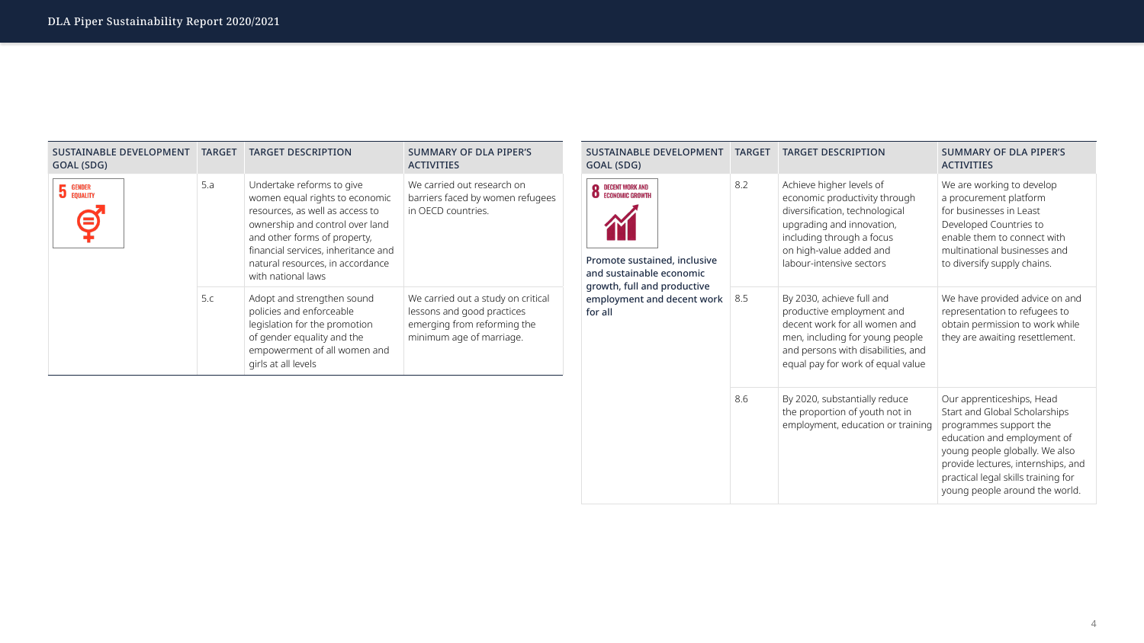| <b>SUSTAINABLE DEVELOPMENT</b><br>GOAL (SDG) | TARGET | <b>TARGET DESCRIPTION</b>                                                                                                                                                                                                                                          | <b>SUMMARY OF DLA PIPER'S</b><br><b>ACTIVITIES</b>                                                                          | <b>SUSTAINABLE DEVELOPMENT</b><br>GOAL (SDG)                                                                     | <b>TARGET</b> | <b>TARGET DESCRIPTION</b>                                                                                                                                                                                    | <b>SUMMARY OF DLA PIPER'S</b><br><b>ACTIVITIES</b>                                                                                                                                                                                       |
|----------------------------------------------|--------|--------------------------------------------------------------------------------------------------------------------------------------------------------------------------------------------------------------------------------------------------------------------|-----------------------------------------------------------------------------------------------------------------------------|------------------------------------------------------------------------------------------------------------------|---------------|--------------------------------------------------------------------------------------------------------------------------------------------------------------------------------------------------------------|------------------------------------------------------------------------------------------------------------------------------------------------------------------------------------------------------------------------------------------|
| <b>5</b> GENDER                              | 5.a    | Undertake reforms to give<br>women equal rights to economic<br>resources, as well as access to<br>ownership and control over land<br>and other forms of property,<br>financial services, inheritance and<br>natural resources, in accordance<br>with national laws | We carried out research on<br>barriers faced by women refugees<br>in OECD countries.                                        | <b>O</b> DECENT WORK AND<br><b>O</b> ECONOMIC GROWTH<br>Promote sustained, inclusive<br>and sustainable economic | 8.2           | Achieve higher levels of<br>economic productivity through<br>diversification, technological<br>upgrading and innovation,<br>including through a focus<br>on high-value added and<br>labour-intensive sectors | We are working to develop<br>a procurement platform<br>for businesses in Least<br>Developed Countries to<br>enable them to connect with<br>multinational businesses and<br>to diversify supply chains.                                   |
|                                              | 5.c    | Adopt and strengthen sound<br>policies and enforceable<br>legislation for the promotion<br>of gender equality and the<br>empowerment of all women and<br>girls at all levels                                                                                       | We carried out a study on critical<br>lessons and good practices<br>emerging from reforming the<br>minimum age of marriage. | growth, full and productive<br>employment and decent work 8.5<br>for all                                         |               |                                                                                                                                                                                                              | By 2030, achieve full and<br>productive employment and<br>decent work for all women and<br>men, including for young people<br>and persons with disabilities, and<br>equal pay for work of equal value                                    |
|                                              |        |                                                                                                                                                                                                                                                                    |                                                                                                                             |                                                                                                                  | 8.6           | By 2020, substantially reduce<br>the proportion of youth not in<br>employment, education or training   programmes support the                                                                                | Our apprenticeships, Head<br>Start and Global Scholarships<br>education and employment of<br>young people globally. We also<br>provide lectures, internships, ar<br>practical legal skills training for<br>young people around the world |

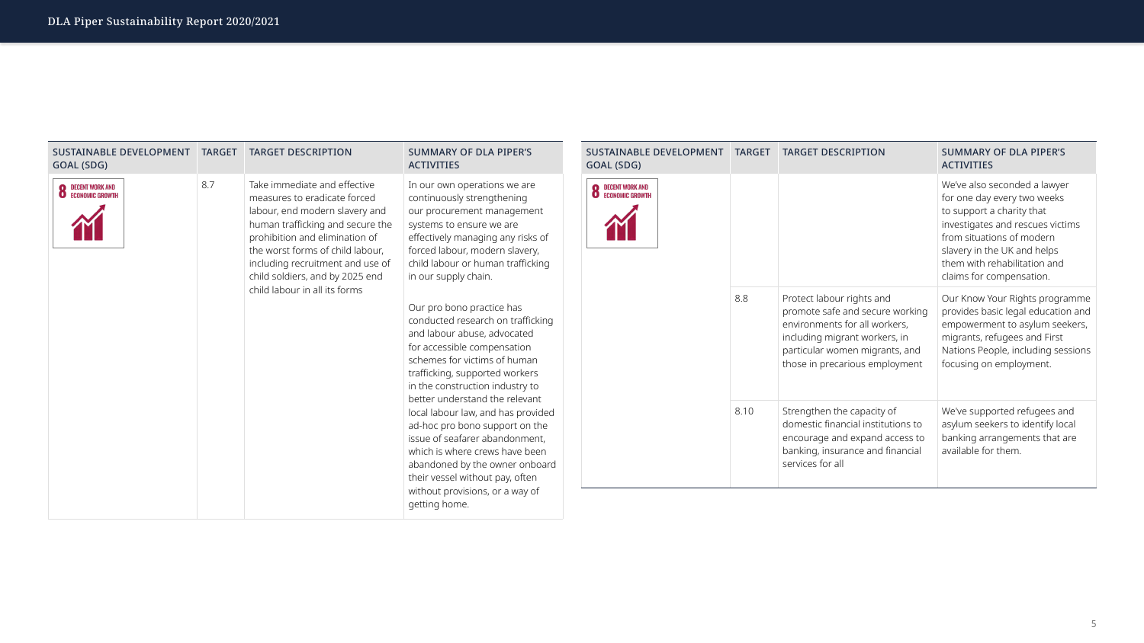

| <b>SUSTAINABLE DEVELOPMENT</b><br>GOAL (SDG) | <b>TARGET</b>                                                                                                                                                                                                                                                                                                                                                                                                                                                                                                                                                                       | <b>TARGET DESCRIPTION</b>                                                                                                                                                                                                                                         | <b>SUMMARY OF DLA PIPER'S</b><br><b>ACTIVITIES</b>                                                                                                                                                                                                                  | <b>SUSTAINABLE DEVELOPMENT</b><br>GOAL (SDG) | <b>TARGET</b>                                                                                                                                                                                                                                        | <b>TARGET DESCRIPTION</b>                                                                                                                                                                          | <b>SUMMARY OF DLA PIPER'S</b><br><b>ACTIVITIES</b>                                                                                                                                              |
|----------------------------------------------|-------------------------------------------------------------------------------------------------------------------------------------------------------------------------------------------------------------------------------------------------------------------------------------------------------------------------------------------------------------------------------------------------------------------------------------------------------------------------------------------------------------------------------------------------------------------------------------|-------------------------------------------------------------------------------------------------------------------------------------------------------------------------------------------------------------------------------------------------------------------|---------------------------------------------------------------------------------------------------------------------------------------------------------------------------------------------------------------------------------------------------------------------|----------------------------------------------|------------------------------------------------------------------------------------------------------------------------------------------------------------------------------------------------------------------------------------------------------|----------------------------------------------------------------------------------------------------------------------------------------------------------------------------------------------------|-------------------------------------------------------------------------------------------------------------------------------------------------------------------------------------------------|
| <b>8</b> DECENT WORK AND ECONOMIC GROWTH     | 8.7<br>Take immediate and effective<br>In our own operations we are<br>continuously strengthening<br>measures to eradicate forced<br>labour, end modern slavery and<br>our procurement management<br>human trafficking and secure the<br>systems to ensure we are<br>prohibition and elimination of<br>effectively managing any risks of<br>forced labour, modern slavery,<br>the worst forms of child labour,<br>child labour or human trafficking<br>including recruitment and use of<br>child soldiers, and by 2025 end<br>in our supply chain.<br>child labour in all its forms | <b>8</b> DECENT WORK AND ECONOMIC GROWTH                                                                                                                                                                                                                          |                                                                                                                                                                                                                                                                     |                                              | We've also seconded a lawyer<br>for one day every two weeks<br>to support a charity that<br>investigates and rescues victims<br>from situations of modern<br>slavery in the UK and helps<br>them with rehabilitation and<br>claims for compensation. |                                                                                                                                                                                                    |                                                                                                                                                                                                 |
|                                              |                                                                                                                                                                                                                                                                                                                                                                                                                                                                                                                                                                                     |                                                                                                                                                                                                                                                                   | Our pro bono practice has<br>conducted research on trafficking<br>and labour abuse, advocated<br>for accessible compensation<br>schemes for victims of human<br>trafficking, supported workers<br>in the construction industry to<br>better understand the relevant |                                              | 8.8                                                                                                                                                                                                                                                  | Protect labour rights and<br>promote safe and secure working<br>environments for all workers,<br>including migrant workers, in<br>particular women migrants, and<br>those in precarious employment | Our Know Your Rights program<br>provides basic legal education a<br>empowerment to asylum seeker<br>migrants, refugees and First<br>Nations People, including sessic<br>focusing on employment. |
|                                              |                                                                                                                                                                                                                                                                                                                                                                                                                                                                                                                                                                                     | local labour law, and has provided<br>ad-hoc pro bono support on the<br>issue of seafarer abandonment,<br>which is where crews have been<br>abandoned by the owner onboard<br>their vessel without pay, often<br>without provisions, or a way of<br>getting home. |                                                                                                                                                                                                                                                                     | 8.10                                         | Strengthen the capacity of<br>domestic financial institutions to<br>encourage and expand access to<br>banking, insurance and financial<br>services for all                                                                                           | We've supported refugees and<br>asylum seekers to identify local<br>banking arrangements that are<br>available for them.                                                                           |                                                                                                                                                                                                 |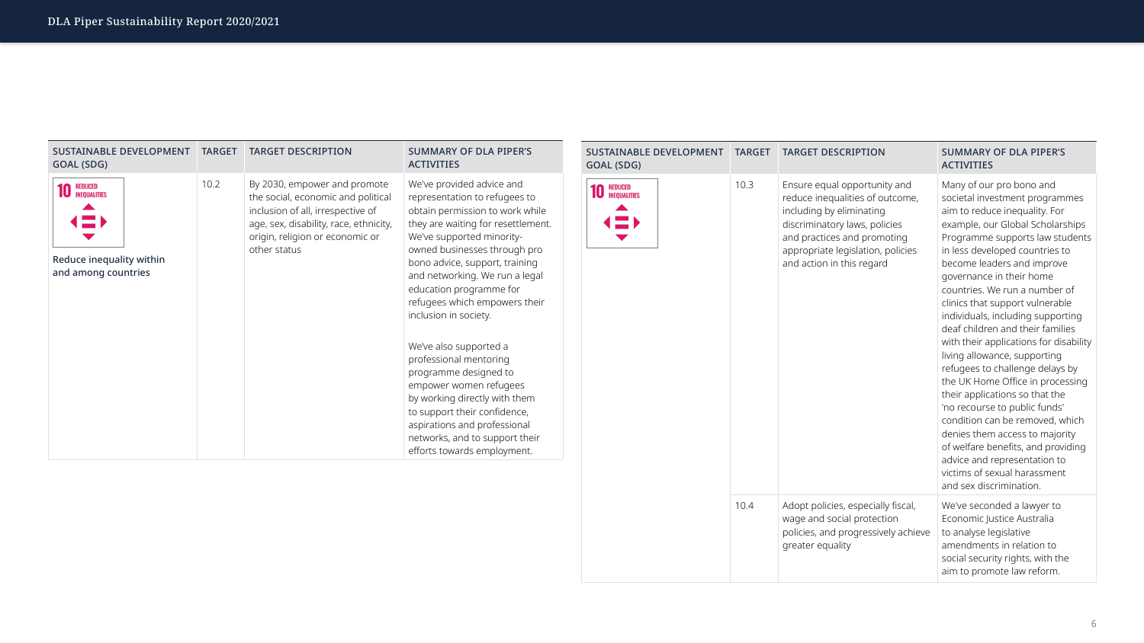

hich ding

| <b>SUSTAINABLE DEVELOPMENT</b><br>GOAL (SDG) |  | <b>TARGET</b> | <b>TARGET DESCRIPTION</b>                                                                                                                                                                                                     | <b>SUMMARY OF DLA PIPER'S</b><br><b>ACTIVITIES</b>                                                                                                                                                                                                                                                                                                                                                                                                                                                                                                                                                                                                                                                                                                                                                                          |  |  |
|----------------------------------------------|--|---------------|-------------------------------------------------------------------------------------------------------------------------------------------------------------------------------------------------------------------------------|-----------------------------------------------------------------------------------------------------------------------------------------------------------------------------------------------------------------------------------------------------------------------------------------------------------------------------------------------------------------------------------------------------------------------------------------------------------------------------------------------------------------------------------------------------------------------------------------------------------------------------------------------------------------------------------------------------------------------------------------------------------------------------------------------------------------------------|--|--|
| <b>REDUCED</b><br><b>INEQUALITIES</b>        |  | 10.3          | Ensure equal opportunity and<br>reduce inequalities of outcome,<br>including by eliminating<br>discriminatory laws, policies<br>and practices and promoting<br>appropriate legislation, policies<br>and action in this regard | Many of our pro bono and<br>societal investment programme<br>aim to reduce inequality. For<br>example, our Global Scholarship<br>Programme supports law studer<br>in less developed countries to<br>become leaders and improve<br>governance in their home<br>countries. We run a number of<br>clinics that support vulnerable<br>individuals, including supportine<br>deaf children and their families<br>with their applications for disabi<br>living allowance, supporting<br>refugees to challenge delays by<br>the UK Home Office in processir<br>their applications so that the<br>'no recourse to public funds'<br>condition can be removed, which<br>denies them access to majority<br>of welfare benefits, and providin<br>advice and representation to<br>victims of sexual harassment<br>and sex discrimination. |  |  |
|                                              |  | 10.4          | Adopt policies, especially fiscal,<br>wage and social protection<br>policies, and progressively achieve<br>greater equality                                                                                                   | We've seconded a lawyer to<br>Economic Justice Australia<br>to analyse legislative<br>amendments in relation to<br>social security rights, with the<br>aim to promote law reform.                                                                                                                                                                                                                                                                                                                                                                                                                                                                                                                                                                                                                                           |  |  |

| <b>SUSTAINABLE DEVELOPMENT</b><br>GOAL (SDG)                                                          | <b>TARGET</b> | <b>TARGET DESCRIPTION</b>                                                                                                                                                                            | <b>SUMMARY OF DLA PIPER'S</b><br><b>ACTIVITIES</b>                                                                                                                                                                                                                                                                                                                                                                                                                                                                                                                                                                                 |
|-------------------------------------------------------------------------------------------------------|---------------|------------------------------------------------------------------------------------------------------------------------------------------------------------------------------------------------------|------------------------------------------------------------------------------------------------------------------------------------------------------------------------------------------------------------------------------------------------------------------------------------------------------------------------------------------------------------------------------------------------------------------------------------------------------------------------------------------------------------------------------------------------------------------------------------------------------------------------------------|
| REDUCED<br>INEQUALITIES<br>$\left( \equiv \right)$<br>Reduce inequality within<br>and among countries | 10.2          | By 2030, empower and promote<br>the social, economic and political<br>inclusion of all, irrespective of<br>age, sex, disability, race, ethnicity,<br>origin, religion or economic or<br>other status | We've provided advice and<br>representation to refugees to<br>obtain permission to work while<br>they are waiting for resettlement.<br>We've supported minority-<br>owned businesses through pro<br>bono advice, support, training<br>and networking. We run a legal<br>education programme for<br>refugees which empowers their<br>inclusion in society.<br>We've also supported a<br>professional mentoring<br>programme designed to<br>empower women refugees<br>by working directly with them<br>to support their confidence,<br>aspirations and professional<br>networks, and to support their<br>efforts towards employment. |

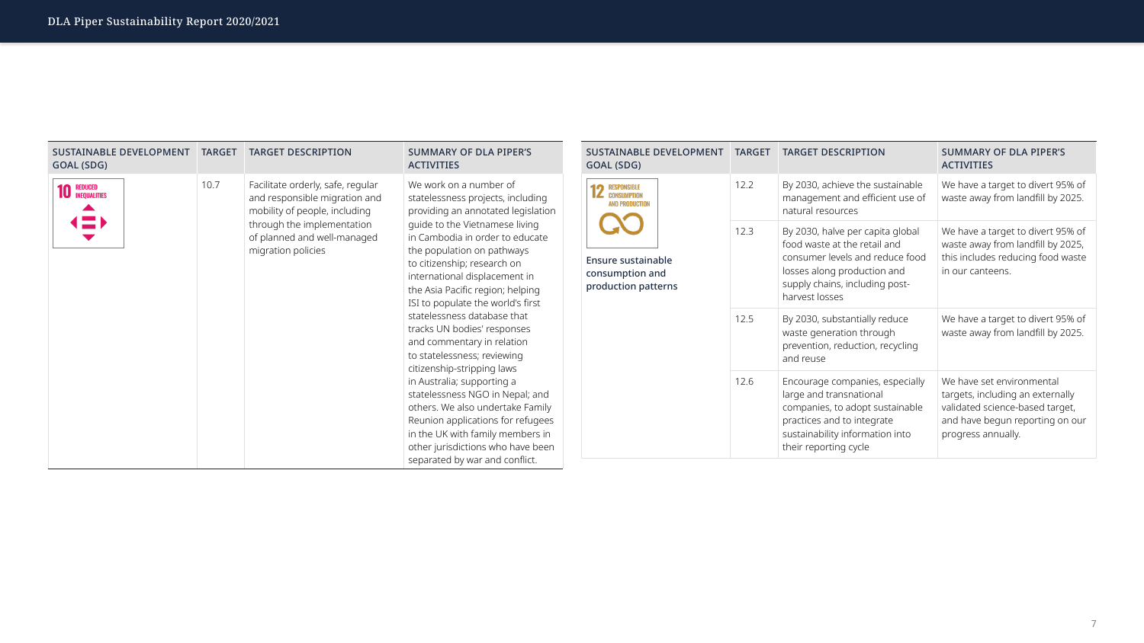

| SUSTAINABLE DEVELOPMENT<br>GOAL (SDG)                        | <b>TARGET</b> | <b>TARGET DESCRIPTION</b>                                                                           | <b>SUMMARY OF DLA PIPER'S</b><br><b>ACTIVITIES</b>                                                                                                                                                                                                                                                                                                                  |  | <b>SUSTAINABLE DEVELOPMENT</b><br>GOAL (SDG)                        | <b>TARGET</b>                                                                                              | <b>TARGET DESCRIPTION</b>                                                                                                                                                              | <b>SUMMARY OF DLA PIPER'S</b><br><b>ACTIVITIES</b>                                                                                                                                                                                                                              |  |  |      |                                                                                                                                                                                         |                                                                                                                                                           |  |  |  |                                                |  |      |                                                                                          |                                                                        |
|--------------------------------------------------------------|---------------|-----------------------------------------------------------------------------------------------------|---------------------------------------------------------------------------------------------------------------------------------------------------------------------------------------------------------------------------------------------------------------------------------------------------------------------------------------------------------------------|--|---------------------------------------------------------------------|------------------------------------------------------------------------------------------------------------|----------------------------------------------------------------------------------------------------------------------------------------------------------------------------------------|---------------------------------------------------------------------------------------------------------------------------------------------------------------------------------------------------------------------------------------------------------------------------------|--|--|------|-----------------------------------------------------------------------------------------------------------------------------------------------------------------------------------------|-----------------------------------------------------------------------------------------------------------------------------------------------------------|--|--|--|------------------------------------------------|--|------|------------------------------------------------------------------------------------------|------------------------------------------------------------------------|
| <b>10 REDUCED</b><br><b>INEQUALITIES</b><br>$\blacktriangle$ | 10.7          | Facilitate orderly, safe, regular<br>and responsible migration and<br>mobility of people, including | We work on a number of<br>statelessness projects, including<br>providing an annotated legislation                                                                                                                                                                                                                                                                   |  |                                                                     |                                                                                                            |                                                                                                                                                                                        |                                                                                                                                                                                                                                                                                 |  |  |      |                                                                                                                                                                                         |                                                                                                                                                           |  |  |  | <b>12 RESPONSIBLE</b><br><b>AND PRODUCTION</b> |  | 12.2 | By 2030, achieve the sustainable<br>management and efficient use of<br>natural resources | We have a target to divert 95% of<br>waste away from landfill by 2025. |
| $\left( \equiv \right)$                                      |               | through the implementation<br>of planned and well-managed<br>migration policies                     | quide to the Vietnamese living<br>in Cambodia in order to educate<br>the population on pathways<br>to citizenship; research on<br>international displacement in<br>the Asia Pacific region; helping<br>ISI to populate the world's first<br>statelessness database that<br>tracks UN bodies' responses<br>and commentary in relation<br>to statelessness; reviewing |  | <b>Ensure sustainable</b><br>consumption and<br>production patterns | 12.3                                                                                                       | By 2030, halve per capita global<br>food waste at the retail and<br>consumer levels and reduce food<br>losses along production and<br>supply chains, including post-<br>harvest losses | We have a target to divert 95% of<br>waste away from landfill by 2025,<br>this includes reducing food waste<br>in our canteens.                                                                                                                                                 |  |  |      |                                                                                                                                                                                         |                                                                                                                                                           |  |  |  |                                                |  |      |                                                                                          |                                                                        |
|                                                              |               |                                                                                                     |                                                                                                                                                                                                                                                                                                                                                                     |  | 12.5                                                                | By 2030, substantially reduce<br>waste generation through<br>prevention, reduction, recycling<br>and reuse | We have a target to divert 95% of<br>waste away from landfill by 2025.                                                                                                                 |                                                                                                                                                                                                                                                                                 |  |  |      |                                                                                                                                                                                         |                                                                                                                                                           |  |  |  |                                                |  |      |                                                                                          |                                                                        |
|                                                              |               |                                                                                                     |                                                                                                                                                                                                                                                                                                                                                                     |  |                                                                     |                                                                                                            |                                                                                                                                                                                        | citizenship-stripping laws<br>in Australia; supporting a<br>statelessness NGO in Nepal; and<br>others. We also undertake Family<br>Reunion applications for refugees<br>in the UK with family members in<br>other jurisdictions who have been<br>separated by war and conflict. |  |  | 12.6 | Encourage companies, especially<br>large and transnational<br>companies, to adopt sustainable<br>practices and to integrate<br>sustainability information into<br>their reporting cycle | We have set environmental<br>targets, including an externally<br>validated science-based target,<br>and have begun reporting on our<br>progress annually. |  |  |  |                                                |  |      |                                                                                          |                                                                        |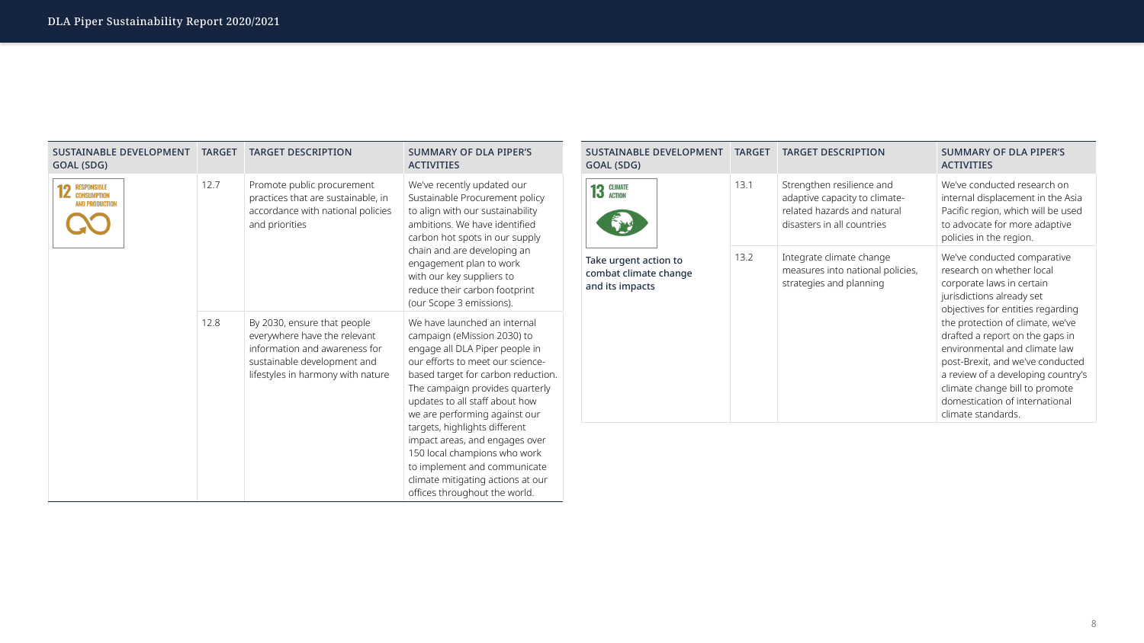| GOAL (SDG)                                                        | <b>SUSTAINABLE DEVELOPMENT</b> |      | <b>TARGET DESCRIPTION</b>                                                                                               | <b>SUMMARY OF DLA PIPER'S</b><br><b>ACTIVITIES</b>                                                                                                                                                                                                                                                                                                                                                                                |
|-------------------------------------------------------------------|--------------------------------|------|-------------------------------------------------------------------------------------------------------------------------|-----------------------------------------------------------------------------------------------------------------------------------------------------------------------------------------------------------------------------------------------------------------------------------------------------------------------------------------------------------------------------------------------------------------------------------|
| <b>CLIMATE</b><br>13<br><b>ACTION</b>                             |                                | 13.1 | Strengthen resilience and<br>adaptive capacity to climate-<br>related hazards and natural<br>disasters in all countries | We've conducted research on<br>internal displacement in the Asia<br>Pacific region, which will be used<br>to advocate for more adaptive<br>policies in the region.                                                                                                                                                                                                                                                                |
| Take urgent action to<br>combat climate change<br>and its impacts |                                | 13.2 | Integrate climate change<br>measures into national policies,<br>strategies and planning                                 | We've conducted comparative<br>research on whether local<br>corporate laws in certain<br>jurisdictions already set<br>objectives for entities regarding<br>the protection of climate, we've<br>drafted a report on the gaps in<br>environmental and climate law<br>post-Brexit, and we've conducted<br>a review of a developing country<br>climate change bill to promote<br>domestication of international<br>climate standards. |



| <b>SUSTAINABLE DEVELOPMENT</b><br>GOAL (SDG)                      | <b>TARGET</b> | <b>TARGET DESCRIPTION</b>                                                                                                                                        | <b>SUMMARY OF DLA PIPER'S</b><br><b>ACTIVITIES</b>                                                                                                                                                                                                                                                                                                                                                                                                                                     |
|-------------------------------------------------------------------|---------------|------------------------------------------------------------------------------------------------------------------------------------------------------------------|----------------------------------------------------------------------------------------------------------------------------------------------------------------------------------------------------------------------------------------------------------------------------------------------------------------------------------------------------------------------------------------------------------------------------------------------------------------------------------------|
| <b>RESPONSIBLE</b><br><b>CONSUMPTION</b><br><b>AND PRODUCTION</b> | 12.7          | Promote public procurement<br>practices that are sustainable, in<br>accordance with national policies<br>and priorities                                          | We've recently updated our<br>Sustainable Procurement policy<br>to align with our sustainability<br>ambitions. We have identified<br>carbon hot spots in our supply<br>chain and are developing an<br>engagement plan to work<br>with our key suppliers to<br>reduce their carbon footprint<br>(our Scope 3 emissions).                                                                                                                                                                |
|                                                                   | 12.8          | By 2030, ensure that people<br>everywhere have the relevant<br>information and awareness for<br>sustainable development and<br>lifestyles in harmony with nature | We have launched an internal<br>campaign (eMission 2030) to<br>engage all DLA Piper people in<br>our efforts to meet our science-<br>based target for carbon reduction.<br>The campaign provides quarterly<br>updates to all staff about how<br>we are performing against our<br>targets, highlights different<br>impact areas, and engages over<br>150 local champions who work<br>to implement and communicate<br>climate mitigating actions at our<br>offices throughout the world. |

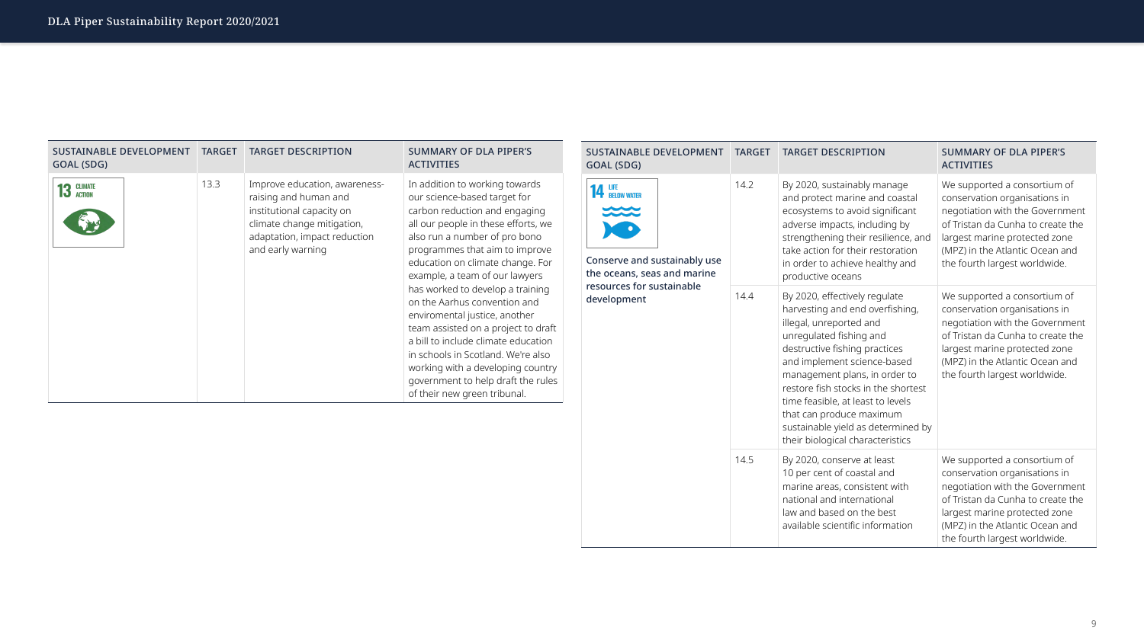| <b>SUSTAINABLE DEVELOPMENT</b><br><b>GOAL (SDG)</b>                                            | <b>TARGET</b><br><b>TARGET DESCRIPTION</b> |                                                                                                                                                                                                                                                                                                                                                                                                           | <b>SUMMARY OF DLA PIPER'S</b><br><b>ACTIVITIES</b>                                                                                                                                                                                        |
|------------------------------------------------------------------------------------------------|--------------------------------------------|-----------------------------------------------------------------------------------------------------------------------------------------------------------------------------------------------------------------------------------------------------------------------------------------------------------------------------------------------------------------------------------------------------------|-------------------------------------------------------------------------------------------------------------------------------------------------------------------------------------------------------------------------------------------|
| 14 LIFE BELOW WATER<br>$\infty$<br>Conserve and sustainably use<br>the oceans, seas and marine | 14.2                                       | By 2020, sustainably manage<br>and protect marine and coastal<br>ecosystems to avoid significant<br>adverse impacts, including by<br>strengthening their resilience, and<br>take action for their restoration<br>in order to achieve healthy and<br>productive oceans                                                                                                                                     | We supported a consortium of<br>conservation organisations in<br>negotiation with the Governmer<br>of Tristan da Cunha to create the<br>largest marine protected zone<br>(MPZ) in the Atlantic Ocean and<br>the fourth largest worldwide. |
| resources for sustainable<br>development                                                       | 14.4                                       | By 2020, effectively regulate<br>harvesting and end overfishing,<br>illegal, unreported and<br>unregulated fishing and<br>destructive fishing practices<br>and implement science-based<br>management plans, in order to<br>restore fish stocks in the shortest<br>time feasible, at least to levels<br>that can produce maximum<br>sustainable yield as determined by<br>their biological characteristics | We supported a consortium of<br>conservation organisations in<br>negotiation with the Governmer<br>of Tristan da Cunha to create the<br>largest marine protected zone<br>(MPZ) in the Atlantic Ocean and<br>the fourth largest worldwide. |
|                                                                                                | 14.5                                       | By 2020, conserve at least<br>10 per cent of coastal and<br>marine areas, consistent with<br>national and international<br>law and based on the best<br>available scientific information                                                                                                                                                                                                                  | We supported a consortium of<br>conservation organisations in<br>negotiation with the Governmer<br>of Tristan da Cunha to create the<br>largest marine protected zone<br>(MPZ) in the Atlantic Ocean and<br>the fourth largest worldwide. |



| <b>SUSTAINABLE DEVELOPMENT</b><br>GOAL (SDG) | <b>TARGET</b> | <b>TARGET DESCRIPTION</b>                                                                                                                                              | <b>SUMMARY OF DLA PIPER'S</b><br><b>ACTIVITIES</b>                                                                                                                                                                                                                                                                                                                                                                                                                                                                                                                                                                  |
|----------------------------------------------|---------------|------------------------------------------------------------------------------------------------------------------------------------------------------------------------|---------------------------------------------------------------------------------------------------------------------------------------------------------------------------------------------------------------------------------------------------------------------------------------------------------------------------------------------------------------------------------------------------------------------------------------------------------------------------------------------------------------------------------------------------------------------------------------------------------------------|
| <b>CLIMATE</b><br><b>ACTION</b>              | 13.3          | Improve education, awareness-<br>raising and human and<br>institutional capacity on<br>climate change mitigation,<br>adaptation, impact reduction<br>and early warning | In addition to working towards<br>our science-based target for<br>carbon reduction and engaging<br>all our people in these efforts, we<br>also run a number of pro bono<br>programmes that aim to improve<br>education on climate change. For<br>example, a team of our lawyers<br>has worked to develop a training<br>on the Aarhus convention and<br>enviromental justice, another<br>team assisted on a project to draft<br>a bill to include climate education<br>in schools in Scotland. We're also<br>working with a developing country<br>government to help draft the rules<br>of their new green tribunal. |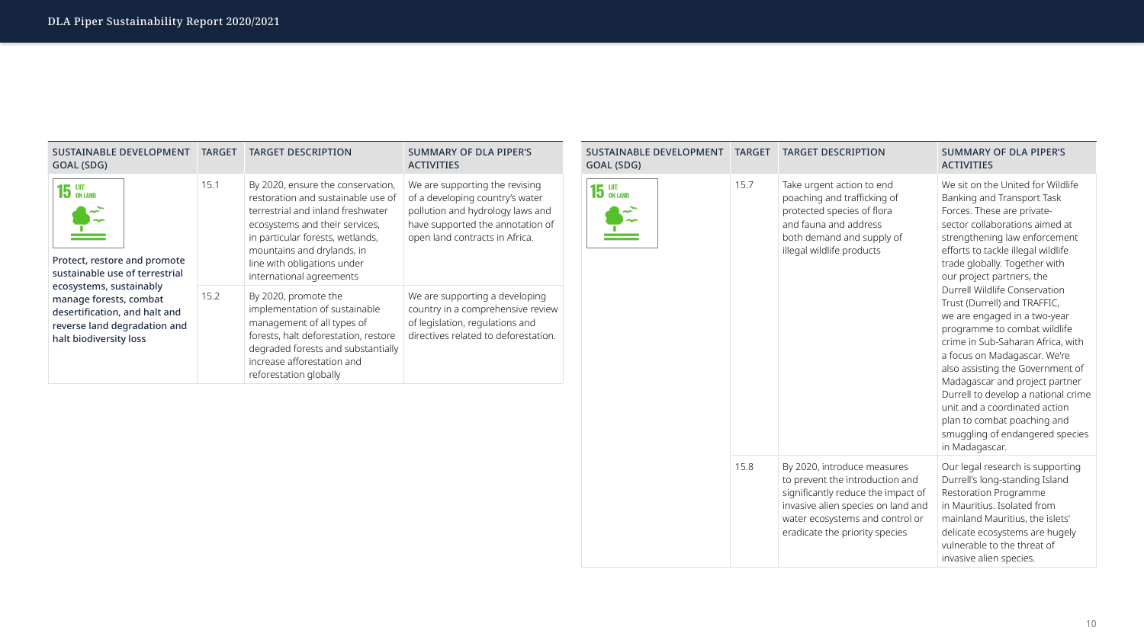

| SUSTAINABLE DEVELOPMENT<br>GOAL (SDG)                                                                                                          | <b>TARGET</b> | <b>TARGET DESCRIPTION</b>                                                                                                                                                                                                                                                   | <b>SUMMARY OF DLA PIPER'S</b><br><b>ACTIVITIES</b>                                                                                                                          | GOAL (SDG)                          | <b>SUSTAINABLE DEVELOPMENT</b> | <b>TARGET</b> | <b>TARGET DESCRIPTION</b>                                                                                                                                                                                       | <b>SUMMARY OF DLA PIPER'S</b><br><b>ACTIVITIES</b>                                                                                                                                                                                                                                                                                                                                                                                                                                                                                                                                                                                                                                                        |
|------------------------------------------------------------------------------------------------------------------------------------------------|---------------|-----------------------------------------------------------------------------------------------------------------------------------------------------------------------------------------------------------------------------------------------------------------------------|-----------------------------------------------------------------------------------------------------------------------------------------------------------------------------|-------------------------------------|--------------------------------|---------------|-----------------------------------------------------------------------------------------------------------------------------------------------------------------------------------------------------------------|-----------------------------------------------------------------------------------------------------------------------------------------------------------------------------------------------------------------------------------------------------------------------------------------------------------------------------------------------------------------------------------------------------------------------------------------------------------------------------------------------------------------------------------------------------------------------------------------------------------------------------------------------------------------------------------------------------------|
| $15$ UFE<br>$\rightarrow$<br>$\frac{1}{\sqrt{2}}$<br>Protect, restore and promote<br>sustainable use of terrestrial<br>ecosystems, sustainably | 15.1          | By 2020, ensure the conservation,<br>restoration and sustainable use of<br>terrestrial and inland freshwater<br>ecosystems and their services,<br>in particular forests, wetlands,<br>mountains and drylands, in<br>line with obligations under<br>international agreements | We are supporting the revising<br>of a developing country's water<br>pollution and hydrology laws and<br>have supported the annotation of<br>open land contracts in Africa. | 15 LIFE ON LAND<br>$\sim$<br>$\sim$ |                                | 15.7<br>15.8  | Take urgent action to end<br>poaching and trafficking of<br>protected species of flora<br>and fauna and address<br>both demand and supply of<br>illegal wildlife products                                       | We sit on the United for Wildlife<br>Banking and Transport Task<br>Forces. These are private-<br>sector collaborations aimed at<br>strengthening law enforcement<br>efforts to tackle illegal wildlife<br>trade globally. Together with<br>our project partners, the<br>Durrell Wildlife Conservation<br>Trust (Durrell) and TRAFFIC,<br>we are engaged in a two-year<br>programme to combat wildlife<br>crime in Sub-Saharan Africa, with<br>a focus on Madagascar. We're<br>also assisting the Government o<br>Madagascar and project partner<br>Durrell to develop a national crin<br>unit and a coordinated action<br>plan to combat poaching and<br>smuggling of endangered specie<br>in Madagascar. |
| manage forests, combat<br>desertification, and halt and<br>reverse land degradation and<br>halt biodiversity loss                              | 15.2          | By 2020, promote the<br>implementation of sustainable<br>management of all types of<br>forests, halt deforestation, restore<br>degraded forests and substantially<br>increase afforestation and<br>reforestation globally                                                   | We are supporting a developing<br>country in a comprehensive review<br>of legislation, regulations and<br>directives related to deforestation.                              |                                     |                                |               |                                                                                                                                                                                                                 |                                                                                                                                                                                                                                                                                                                                                                                                                                                                                                                                                                                                                                                                                                           |
|                                                                                                                                                |               |                                                                                                                                                                                                                                                                             |                                                                                                                                                                             |                                     |                                |               | By 2020, introduce measures<br>to prevent the introduction and<br>significantly reduce the impact of<br>invasive alien species on land and<br>water ecosystems and control or<br>eradicate the priority species | Our legal research is supporting<br>Durrell's long-standing Island<br>Restoration Programme<br>in Mauritius. Isolated from<br>mainland Mauritius, the islets'<br>delicate ecosystems are hugely<br>vulnerable to the threat of<br>invasive alien species.                                                                                                                                                                                                                                                                                                                                                                                                                                                 |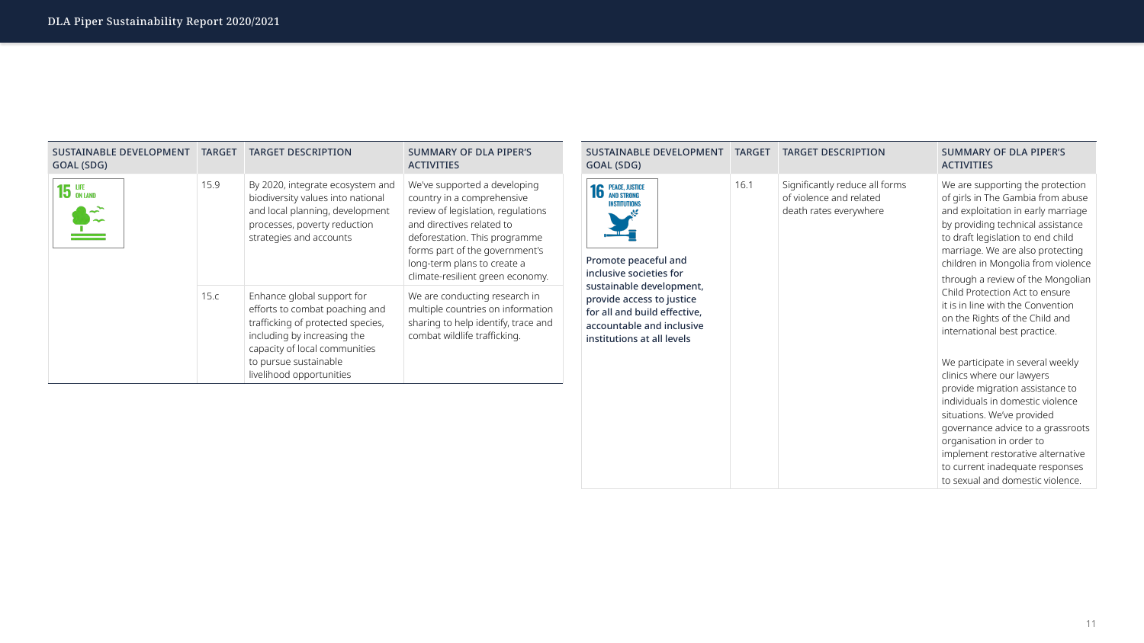| <b>SUSTAINABLE DEVELOPMENT</b><br>GOAL (SDG)                                                                                                                                                                                                                                   | <b>TARGET</b> | <b>TARGET DESCRIPTION</b>                                                           | <b>SUMMARY OF DLA PIPER'S</b><br><b>ACTIVITIES</b>                                                                                                                                                                                                                                                                                                                                                                                                                                                                                                                                                                                                                                                                                                                                      |
|--------------------------------------------------------------------------------------------------------------------------------------------------------------------------------------------------------------------------------------------------------------------------------|---------------|-------------------------------------------------------------------------------------|-----------------------------------------------------------------------------------------------------------------------------------------------------------------------------------------------------------------------------------------------------------------------------------------------------------------------------------------------------------------------------------------------------------------------------------------------------------------------------------------------------------------------------------------------------------------------------------------------------------------------------------------------------------------------------------------------------------------------------------------------------------------------------------------|
| <b>PEACE, JUSTICE</b><br>16<br><b>AND STRONG</b><br><b>INSTITUTIONS</b><br>Promote peaceful and<br>inclusive societies for<br>sustainable development,<br>provide access to justice<br>for all and build effective,<br>accountable and inclusive<br>institutions at all levels | 16.1          | Significantly reduce all forms<br>of violence and related<br>death rates everywhere | We are supporting the protectio<br>of girls in The Gambia from abus<br>and exploitation in early marriag<br>by providing technical assistance<br>to draft legislation to end child<br>marriage. We are also protectino<br>children in Mongolia from violen<br>through a review of the Mongoli<br>Child Protection Act to ensure<br>it is in line with the Convention<br>on the Rights of the Child and<br>international best practice.<br>We participate in several weekly<br>clinics where our lawyers<br>provide migration assistance to<br>individuals in domestic violence<br>situations. We've provided<br>governance advice to a grassroc<br>organisation in order to<br>implement restorative alternative<br>to current inadequate responses<br>to sexual and domestic violence. |



iroots ative ises

nce.

| <b>SUSTAINABLE DEVELOPMENT</b><br>GOAL (SDG) | <b>TARGET</b> | <b>TARGET DESCRIPTION</b>                                                                                                                                                                                              | <b>SUMMARY OF DLA PIPER'S</b><br><b>ACTIVITIES</b>                                                                                                                                                                                                                  |
|----------------------------------------------|---------------|------------------------------------------------------------------------------------------------------------------------------------------------------------------------------------------------------------------------|---------------------------------------------------------------------------------------------------------------------------------------------------------------------------------------------------------------------------------------------------------------------|
| $15$ an land                                 | 15.9          | By 2020, integrate ecosystem and<br>biodiversity values into national<br>and local planning, development<br>processes, poverty reduction<br>strategies and accounts                                                    | We've supported a developing<br>country in a comprehensive<br>review of legislation, regulations<br>and directives related to<br>deforestation. This programme<br>forms part of the government's<br>long-term plans to create a<br>climate-resilient green economy. |
|                                              | 15.c          | Enhance global support for<br>efforts to combat poaching and<br>trafficking of protected species,<br>including by increasing the<br>capacity of local communities<br>to pursue sustainable<br>livelihood opportunities | We are conducting research in<br>multiple countries on information<br>sharing to help identify, trace and<br>combat wildlife trafficking.                                                                                                                           |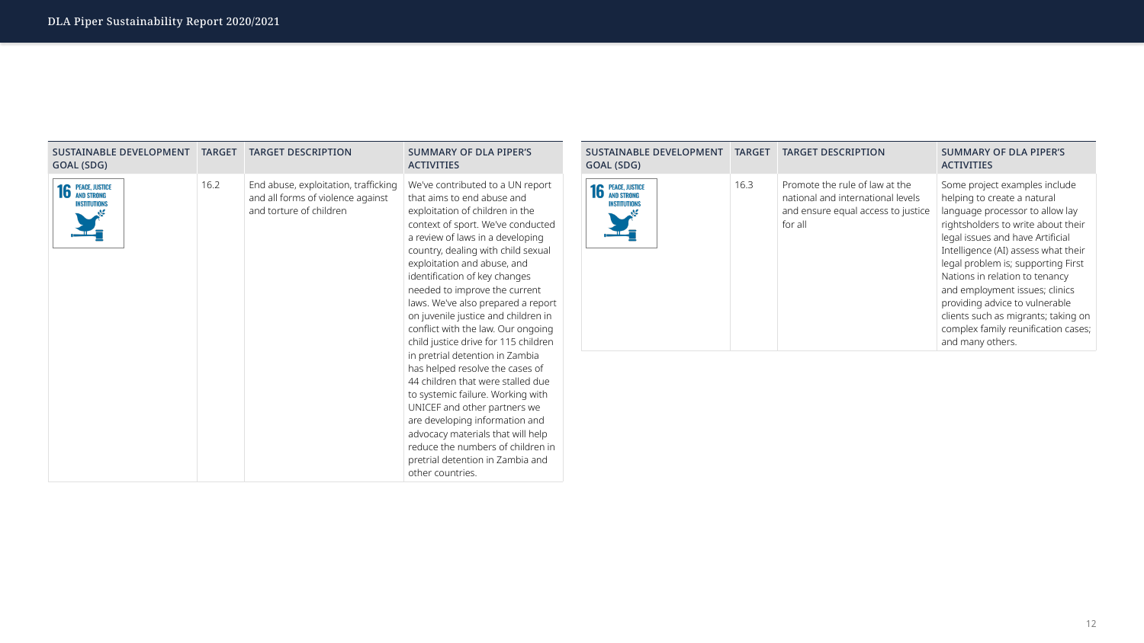

| <b>SUSTAINABLE DEVELOPMENT</b><br>GOAL (SDG)    | <b>TARGET</b> | <b>TARGET DESCRIPTION</b>                                                                            | <b>SUMMARY OF DLA PIPER'S</b><br><b>ACTIVITIES</b>                                                                                                                                                                                                                                                                                                                                                                                                                                                                                                                                      | <b>SUSTAINABLE DEVELOPMENT</b><br>GOAL (SDG)    | <b>TARGET</b> | <b>TARGET DESCRIPTION</b>                                                                                            | <b>SUMMARY OF DLA PIPER'S</b><br><b>ACTIVITIES</b>                                                                                                                                                                                                                                                                                                                                                                                                  |
|-------------------------------------------------|---------------|------------------------------------------------------------------------------------------------------|-----------------------------------------------------------------------------------------------------------------------------------------------------------------------------------------------------------------------------------------------------------------------------------------------------------------------------------------------------------------------------------------------------------------------------------------------------------------------------------------------------------------------------------------------------------------------------------------|-------------------------------------------------|---------------|----------------------------------------------------------------------------------------------------------------------|-----------------------------------------------------------------------------------------------------------------------------------------------------------------------------------------------------------------------------------------------------------------------------------------------------------------------------------------------------------------------------------------------------------------------------------------------------|
| <b>16 PEACE, JUSTICE</b><br><b>INSTITUTIONS</b> | 16.2          | End abuse, exploitation, trafficking<br>and all forms of violence against<br>and torture of children | We've contributed to a UN report<br>that aims to end abuse and<br>exploitation of children in the<br>context of sport. We've conducted<br>a review of laws in a developing<br>country, dealing with child sexual<br>exploitation and abuse, and<br>identification of key changes<br>needed to improve the current<br>laws. We've also prepared a report<br>on juvenile justice and children in<br>conflict with the law. Our ongoing<br>child justice drive for 115 children<br>in pretrial detention in Zambia<br>has helped resolve the cases of<br>44 children that were stalled due | <b>16 PEACE, JUSTICE</b><br><b>INSTITUTIONS</b> | 16.3          | Promote the rule of law at the<br>national and international levels<br>and ensure equal access to justice<br>for all | Some project examples include<br>helping to create a natural<br>language processor to allow lay<br>rightsholders to write about the<br>legal issues and have Artificial<br>Intelligence (AI) assess what the<br>legal problem is; supporting Firs<br>Nations in relation to tenancy<br>and employment issues; clinics<br>providing advice to vulnerable<br>clients such as migrants; taking<br>complex family reunification cas<br>and many others. |
|                                                 |               |                                                                                                      | to systemic failure. Working with<br>UNICEF and other partners we<br>are developing information and<br>advocacy materials that will help<br>reduce the numbers of children in<br>pretrial detention in Zambia and<br>other countries.                                                                                                                                                                                                                                                                                                                                                   |                                                 |               |                                                                                                                      |                                                                                                                                                                                                                                                                                                                                                                                                                                                     |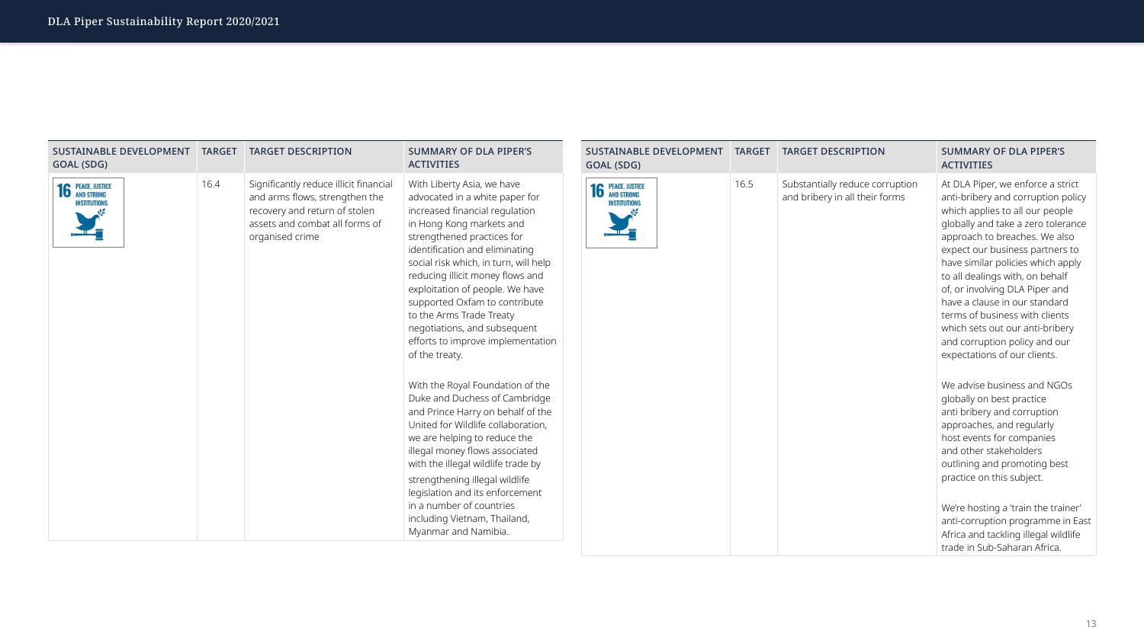



| <b>SUSTAINABLE DEVELOPMENT</b><br>GOAL (SDG)    | <b>TARGET</b> | <b>TARGET DESCRIPTION</b>                                                                                                                                      | <b>SUMMARY OF DLA PIPER'S</b><br><b>ACTIVITIES</b>                                                                                                                                                                                                                                                                                                                                                                                                             | <b>SUSTAINABLE DEVELOPMENT</b><br>GOAL (SDG)    | <b>TARGET</b> | <b>TARGET DESCRIPTION</b>                                         | <b>SUMMARY OF DLA PIPER'S</b><br><b>ACTIVITIES</b>                                                                                                                                                                                                                                                                                                                                                                                                                                                  |
|-------------------------------------------------|---------------|----------------------------------------------------------------------------------------------------------------------------------------------------------------|----------------------------------------------------------------------------------------------------------------------------------------------------------------------------------------------------------------------------------------------------------------------------------------------------------------------------------------------------------------------------------------------------------------------------------------------------------------|-------------------------------------------------|---------------|-------------------------------------------------------------------|-----------------------------------------------------------------------------------------------------------------------------------------------------------------------------------------------------------------------------------------------------------------------------------------------------------------------------------------------------------------------------------------------------------------------------------------------------------------------------------------------------|
| <b>16 PEACE, JUSTICE</b><br><b>INSTITUTIONS</b> | 16.4          | Significantly reduce illicit financial<br>and arms flows, strengthen the<br>recovery and return of stolen<br>assets and combat all forms of<br>organised crime | With Liberty Asia, we have<br>advocated in a white paper for<br>increased financial regulation<br>in Hong Kong markets and<br>strengthened practices for<br>identification and eliminating<br>social risk which, in turn, will help<br>reducing illicit money flows and<br>exploitation of people. We have<br>supported Oxfam to contribute<br>to the Arms Trade Treaty<br>negotiations, and subsequent<br>efforts to improve implementation<br>of the treaty. | <b>16 PEACE, JUSTICE</b><br><b>INSTITUTIONS</b> | 16.5          | Substantially reduce corruption<br>and bribery in all their forms | At DLA Piper, we enforce a strict<br>anti-bribery and corruption polic<br>which applies to all our people<br>globally and take a zero toleranc<br>approach to breaches. We also<br>expect our business partners to<br>have similar policies which apply<br>to all dealings with, on behalf<br>of, or involving DLA Piper and<br>have a clause in our standard<br>terms of business with clients<br>which sets out our anti-bribery<br>and corruption policy and our<br>expectations of our clients. |
|                                                 |               |                                                                                                                                                                | With the Royal Foundation of the<br>Duke and Duchess of Cambridge<br>and Prince Harry on behalf of the<br>United for Wildlife collaboration,<br>we are helping to reduce the<br>illegal money flows associated<br>with the illegal wildlife trade by<br>strengthening illegal wildlife<br>legislation and its enforcement<br>in a number of countries<br>including Vietnam, Thailand,<br>Myanmar and Namibia.                                                  |                                                 |               |                                                                   | We advise business and NGOs<br>globally on best practice<br>anti bribery and corruption<br>approaches, and regularly<br>host events for companies<br>and other stakeholders<br>outlining and promoting best<br>practice on this subject.<br>We're hosting a 'train the trainer'<br>anti-corruption programme in Ea<br>Africa and tackling illegal wildlife<br>trade in Sub-Saharan Africa.                                                                                                          |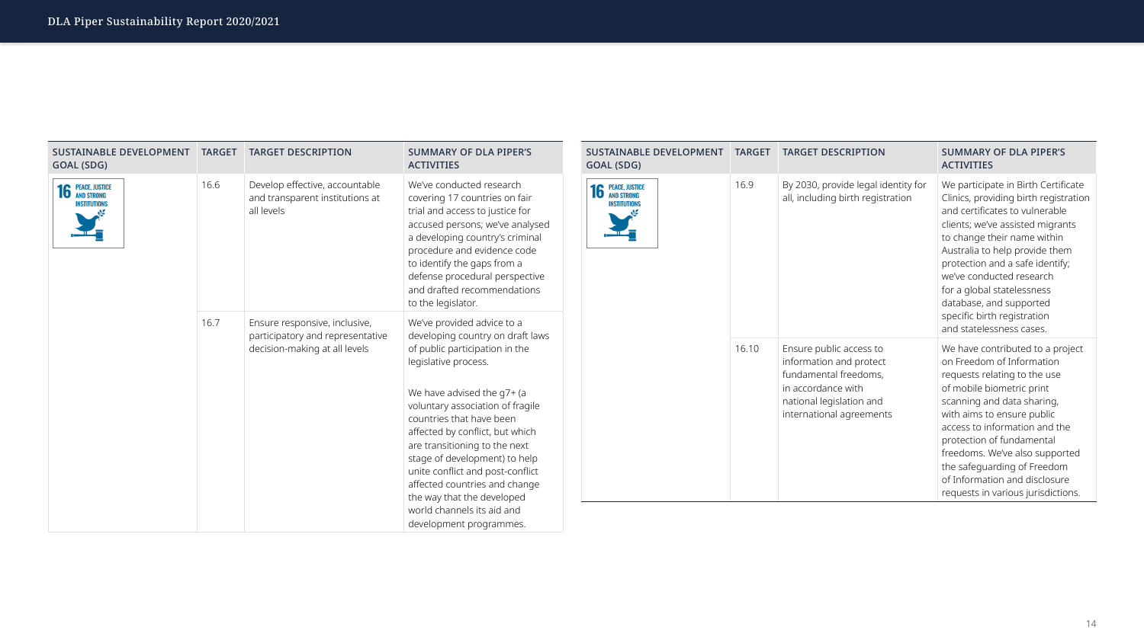

| <b>SUSTAINABLE DEVELOPMENT</b><br>GOAL (SDG)    | <b>TARGET</b> | <b>TARGET DESCRIPTION</b>                                                       | <b>SUMMARY OF DLA PIPER'S</b><br><b>ACTIVITIES</b>                                                                                                                                                                                                                                                                                                                                                                                                                                        | <b>SUSTAINABLE DEVELOPMENT</b><br>GOAL (SDG)    | <b>TARGET</b> | <b>TARGET DESCRIPTION</b>                                                                                                                                 | <b>SUMMARY OF DLA PIPER'S</b><br><b>ACTIVITIES</b>                                                                                                                                                                                                                                                                                                                                                  |
|-------------------------------------------------|---------------|---------------------------------------------------------------------------------|-------------------------------------------------------------------------------------------------------------------------------------------------------------------------------------------------------------------------------------------------------------------------------------------------------------------------------------------------------------------------------------------------------------------------------------------------------------------------------------------|-------------------------------------------------|---------------|-----------------------------------------------------------------------------------------------------------------------------------------------------------|-----------------------------------------------------------------------------------------------------------------------------------------------------------------------------------------------------------------------------------------------------------------------------------------------------------------------------------------------------------------------------------------------------|
| <b>16 PEACE, JUSTICE</b><br><b>INSTITUTIONS</b> | 16.6          | Develop effective, accountable<br>and transparent institutions at<br>all levels | We've conducted research<br>covering 17 countries on fair<br>trial and access to justice for<br>accused persons; we've analysed<br>a developing country's criminal<br>procedure and evidence code<br>to identify the gaps from a<br>defense procedural perspective<br>and drafted recommendations<br>to the legislator.                                                                                                                                                                   | <b>16 PEACE, JUSTICE</b><br><b>INSTITUTIONS</b> | 16.9          | By 2030, provide legal identity for<br>all, including birth registration                                                                                  | We participate in Birth Certificat<br>Clinics, providing birth registrati<br>and certificates to vulnerable<br>clients; we've assisted migrants<br>to change their name within<br>Australia to help provide them<br>protection and a safe identify;<br>we've conducted research<br>for a global statelessness<br>database, and supported<br>specific birth registration<br>and statelessness cases. |
|                                                 | 16.7          | Ensure responsive, inclusive,<br>participatory and representative               | We've provided advice to a<br>developing country on draft laws<br>of public participation in the<br>legislative process.<br>We have advised the $q7+$ (a<br>voluntary association of fragile<br>countries that have been<br>affected by conflict, but which<br>are transitioning to the next<br>stage of development) to help<br>unite conflict and post-conflict<br>affected countries and change<br>the way that the developed<br>world channels its aid and<br>development programmes. |                                                 |               |                                                                                                                                                           |                                                                                                                                                                                                                                                                                                                                                                                                     |
|                                                 |               | decision-making at all levels                                                   |                                                                                                                                                                                                                                                                                                                                                                                                                                                                                           |                                                 | 16.10         | Ensure public access to<br>information and protect<br>fundamental freedoms,<br>in accordance with<br>national legislation and<br>international agreements | We have contributed to a projed<br>on Freedom of Information<br>requests relating to the use<br>of mobile biometric print<br>scanning and data sharing,<br>with aims to ensure public<br>access to information and the<br>protection of fundamental<br>freedoms. We've also supported<br>the safeguarding of Freedom<br>of Information and disclosure<br>requests in various jurisdictions          |
|                                                 |               |                                                                                 |                                                                                                                                                                                                                                                                                                                                                                                                                                                                                           |                                                 |               |                                                                                                                                                           |                                                                                                                                                                                                                                                                                                                                                                                                     |